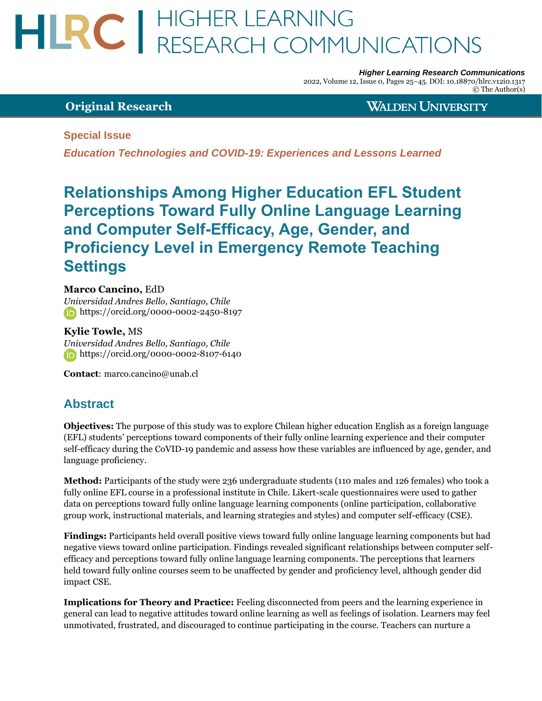# HLRC | HIGHER LEARNING<br>RESEARCH COMMUNICATIONS

*Higher Learning Research Communications*

2022, Volume 12, Issue 0, Pages 25–45. DOI: 10.18870/hlrc.v12i0.1317 © The Author(s)

# **Original Research**

**WALDEN UNIVERSITY** 

# **Special Issue**

*Education Technologies and COVID-19: Experiences and Lessons Learned*

# **Relationships Among Higher Education EFL Student Perceptions Toward Fully Online Language Learning and Computer Self-Efficacy, Age, Gender, and Proficiency Level in Emergency Remote Teaching Settings**

# **Marco Cancino,** EdD

*Universidad Andres Bello, Santiago, Chile* <https://orcid.org/0000-0002-2450-8197>

# **Kylie Towle,** MS

*Universidad Andres Bello, Santiago, Chile* **<https://orcid.org/0000-0002-8107-6140>** 

**Contact**[:](mailto:%20marco.cancino@unab.cl) [marco.cancino@unab.cl](mailto:%20marco.cancino@unab.cl)

# **Abstract**

**Objectives:** The purpose of this study was to explore Chilean higher education English as a foreign language (EFL) students' perceptions toward components of their fully online learning experience and their computer self-efficacy during the CoVID-19 pandemic and assess how these variables are influenced by age, gender, and language proficiency.

**Method:** Participants of the study were 236 undergraduate students (110 males and 126 females) who took a fully online EFL course in a professional institute in Chile. Likert-scale questionnaires were used to gather data on perceptions toward fully online language learning components (online participation, collaborative group work, instructional materials, and learning strategies and styles) and computer self-efficacy (CSE).

**Findings:** Participants held overall positive views toward fully online language learning components but had negative views toward online participation. Findings revealed significant relationships between computer selfefficacy and perceptions toward fully online language learning components. The perceptions that learners held toward fully online courses seem to be unaffected by gender and proficiency level, although gender did impact CSE.

**Implications for Theory and Practice:** Feeling disconnected from peers and the learning experience in general can lead to negative attitudes toward online learning as well as feelings of isolation. Learners may feel unmotivated, frustrated, and discouraged to continue participating in the course. Teachers can nurture a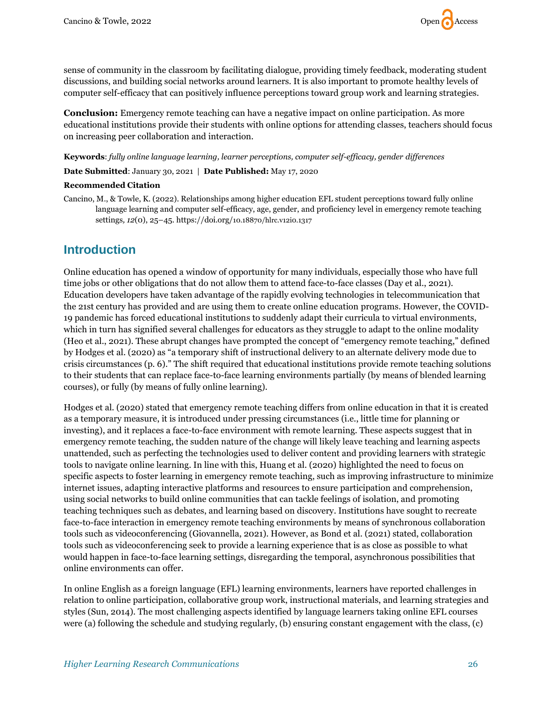

sense of community in the classroom by facilitating dialogue, providing timely feedback, moderating student discussions, and building social networks around learners. It is also important to promote healthy levels of computer self-efficacy that can positively influence perceptions toward group work and learning strategies.

**Conclusion:** Emergency remote teaching can have a negative impact on online participation. As more educational institutions provide their students with online options for attending classes, teachers should focus on increasing peer collaboration and interaction.

**Keywords**: *fully online language learning, learner perceptions, computer self-efficacy, gender differences*

**Date Submitted**: January 30, 2021 | **Date Published:** May 17, 2020

#### **Recommended Citation**

Cancino, M., & Towle, K. (2022). Relationships among higher education EFL student perceptions toward fully online language learning and computer self-efficacy, age, gender, and proficiency level in emergency remote teaching settings*, 12*(0), 25–45. https://doi.org/[10.18870/hlrc.v12i0.1317](https://doi.org/10.5590/10.18870/hlrc.v12i0.1317)

# **Introduction**

Online education has opened a window of opportunity for many individuals, especially those who have full time jobs or other obligations that do not allow them to attend face-to-face classes (Day et al., 2021). Education developers have taken advantage of the rapidly evolving technologies in telecommunication that the 21st century has provided and are using them to create online education programs. However, the COVID-19 pandemic has forced educational institutions to suddenly adapt their curricula to virtual environments, which in turn has signified several challenges for educators as they struggle to adapt to the online modality (Heo et al., 2021). These abrupt changes have prompted the concept of "emergency remote teaching," defined by Hodges et al. (2020) as "a temporary shift of instructional delivery to an alternate delivery mode due to crisis circumstances (p. 6)." The shift required that educational institutions provide remote teaching solutions to their students that can replace face-to-face learning environments partially (by means of blended learning courses), or fully (by means of fully online learning).

Hodges et al. (2020) stated that emergency remote teaching differs from online education in that it is created as a temporary measure, it is introduced under pressing circumstances (i.e., little time for planning or investing), and it replaces a face-to-face environment with remote learning. These aspects suggest that in emergency remote teaching, the sudden nature of the change will likely leave teaching and learning aspects unattended, such as perfecting the technologies used to deliver content and providing learners with strategic tools to navigate online learning. In line with this, Huang et al. (2020) highlighted the need to focus on specific aspects to foster learning in emergency remote teaching, such as improving infrastructure to minimize internet issues, adapting interactive platforms and resources to ensure participation and comprehension, using social networks to build online communities that can tackle feelings of isolation, and promoting teaching techniques such as debates, and learning based on discovery. Institutions have sought to recreate face-to-face interaction in emergency remote teaching environments by means of synchronous collaboration tools such as videoconferencing (Giovannella, 2021). However, as Bond et al. (2021) stated, collaboration tools such as videoconferencing seek to provide a learning experience that is as close as possible to what would happen in face-to-face learning settings, disregarding the temporal, asynchronous possibilities that online environments can offer.

In online English as a foreign language (EFL) learning environments, learners have reported challenges in relation to online participation, collaborative group work, instructional materials, and learning strategies and styles (Sun, 2014). The most challenging aspects identified by language learners taking online EFL courses were (a) following the schedule and studying regularly, (b) ensuring constant engagement with the class, (c)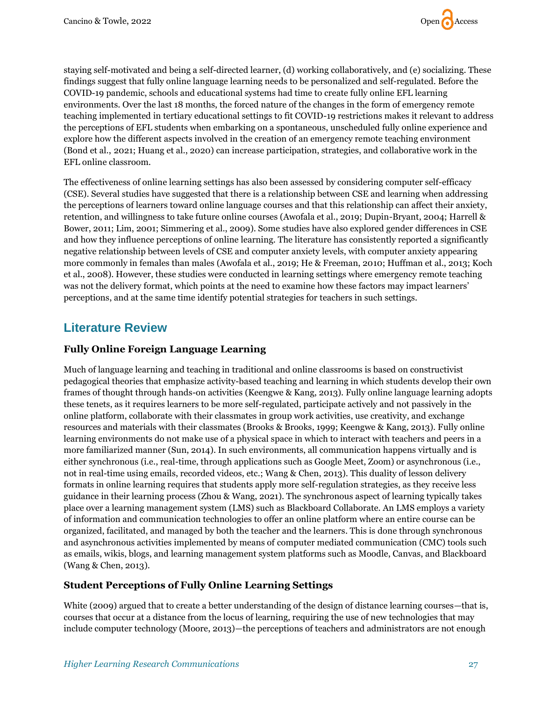

staying self-motivated and being a self-directed learner, (d) working collaboratively, and (e) socializing. These findings suggest that fully online language learning needs to be personalized and self-regulated. Before the COVID-19 pandemic, schools and educational systems had time to create fully online EFL learning environments. Over the last 18 months, the forced nature of the changes in the form of emergency remote teaching implemented in tertiary educational settings to fit COVID-19 restrictions makes it relevant to address the perceptions of EFL students when embarking on a spontaneous, unscheduled fully online experience and explore how the different aspects involved in the creation of an emergency remote teaching environment (Bond et al., 2021; Huang et al., 2020) can increase participation, strategies, and collaborative work in the EFL online classroom.

The effectiveness of online learning settings has also been assessed by considering computer self-efficacy (CSE). Several studies have suggested that there is a relationship between CSE and learning when addressing the perceptions of learners toward online language courses and that this relationship can affect their anxiety, retention, and willingness to take future online courses (Awofala et al., 2019; Dupin-Bryant, 2004; Harrell & Bower, 2011; Lim, 2001; Simmering et al., 2009). Some studies have also explored gender differences in CSE and how they influence perceptions of online learning. The literature has consistently reported a significantly negative relationship between levels of CSE and computer anxiety levels, with computer anxiety appearing more commonly in females than males (Awofala et al., 2019; He & Freeman, 2010; Huffman et al., 2013; Koch et al., 2008). However, these studies were conducted in learning settings where emergency remote teaching was not the delivery format, which points at the need to examine how these factors may impact learners' perceptions, and at the same time identify potential strategies for teachers in such settings.

# **Literature Review**

# **Fully Online Foreign Language Learning**

Much of language learning and teaching in traditional and online classrooms is based on constructivist pedagogical theories that emphasize activity-based teaching and learning in which students develop their own frames of thought through hands-on activities (Keengwe & Kang, 2013). Fully online language learning adopts these tenets, as it requires learners to be more self-regulated, participate actively and not passively in the online platform, collaborate with their classmates in group work activities, use creativity, and exchange resources and materials with their classmates (Brooks & Brooks, 1999; Keengwe & Kang, 2013). Fully online learning environments do not make use of a physical space in which to interact with teachers and peers in a more familiarized manner (Sun, 2014). In such environments, all communication happens virtually and is either synchronous (i.e., real-time, through applications such as Google Meet, Zoom) or asynchronous (i.e., not in real-time using emails, recorded videos, etc.; Wang & Chen, 2013). This duality of lesson delivery formats in online learning requires that students apply more self-regulation strategies, as they receive less guidance in their learning process (Zhou & Wang, 2021). The synchronous aspect of learning typically takes place over a learning management system (LMS) such as Blackboard Collaborate. An LMS employs a variety of information and communication technologies to offer an online platform where an entire course can be organized, facilitated, and managed by both the teacher and the learners. This is done through synchronous and asynchronous activities implemented by means of computer mediated communication (CMC) tools such as emails, wikis, blogs, and learning management system platforms such as Moodle, Canvas, and Blackboard (Wang & Chen, 2013).

## **Student Perceptions of Fully Online Learning Settings**

White (2009) argued that to create a better understanding of the design of distance learning courses—that is, courses that occur at a distance from the locus of learning, requiring the use of new technologies that may include computer technology (Moore, 2013)—the perceptions of teachers and administrators are not enough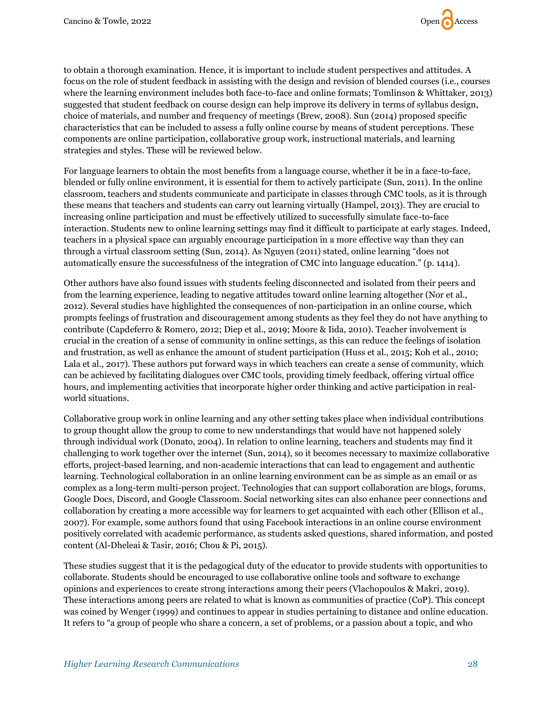

to obtain a thorough examination. Hence, it is important to include student perspectives and attitudes. A focus on the role of student feedback in assisting with the design and revision of blended courses (i.e., courses where the learning environment includes both face-to-face and online formats; Tomlinson & Whittaker, 2013) suggested that student feedback on course design can help improve its delivery in terms of syllabus design, choice of materials, and number and frequency of meetings (Brew, 2008). Sun (2014) proposed specific characteristics that can be included to assess a fully online course by means of student perceptions. These components are online participation, collaborative group work, instructional materials, and learning strategies and styles. These will be reviewed below.

For language learners to obtain the most benefits from a language course, whether it be in a face-to-face, blended or fully online environment, it is essential for them to actively participate (Sun, 2011). In the online classroom, teachers and students communicate and participate in classes through CMC tools, as it is through these means that teachers and students can carry out learning virtually (Hampel, 2013). They are crucial to increasing online participation and must be effectively utilized to successfully simulate face-to-face interaction. Students new to online learning settings may find it difficult to participate at early stages. Indeed, teachers in a physical space can arguably encourage participation in a more effective way than they can through a virtual classroom setting (Sun, 2014). As Nguyen (2011) stated, online learning "does not automatically ensure the successfulness of the integration of CMC into language education." (p. 1414).

Other authors have also found issues with students feeling disconnected and isolated from their peers and from the learning experience, leading to negative attitudes toward online learning altogether (Nor et al., 2012). Several studies have highlighted the consequences of non-participation in an online course, which prompts feelings of frustration and discouragement among students as they feel they do not have anything to contribute (Capdeferro & Romero, 2012; Diep et al., 2019; Moore & Iida, 2010). Teacher involvement is crucial in the creation of a sense of community in online settings, as this can reduce the feelings of isolation and frustration, as well as enhance the amount of student participation (Huss et al., 2015; Koh et al., 2010; Lala et al., 2017). These authors put forward ways in which teachers can create a sense of community, which can be achieved by facilitating dialogues over CMC tools, providing timely feedback, offering virtual office hours, and implementing activities that incorporate higher order thinking and active participation in realworld situations.

Collaborative group work in online learning and any other setting takes place when individual contributions to group thought allow the group to come to new understandings that would have not happened solely through individual work (Donato, 2004). In relation to online learning, teachers and students may find it challenging to work together over the internet (Sun, 2014), so it becomes necessary to maximize collaborative efforts, project-based learning, and non-academic interactions that can lead to engagement and authentic learning. Technological collaboration in an online learning environment can be as simple as an email or as complex as a long-term multi-person project. Technologies that can support collaboration are blogs, forums, Google Docs, Discord, and Google Classroom. Social networking sites can also enhance peer connections and collaboration by creating a more accessible way for learners to get acquainted with each other (Ellison et al., 2007). For example, some authors found that using Facebook interactions in an online course environment positively correlated with academic performance, as students asked questions, shared information, and posted content (Al-Dheleai & Tasir, 2016; Chou & Pi, 2015).

These studies suggest that it is the pedagogical duty of the educator to provide students with opportunities to collaborate. Students should be encouraged to use collaborative online tools and software to exchange opinions and experiences to create strong interactions among their peers (Vlachopoulos & Makri, 2019). These interactions among peers are related to what is known as communities of practice (CoP). This concept was coined by Wenger (1999) and continues to appear in studies pertaining to distance and online education. It refers to "a group of people who share a concern, a set of problems, or a passion about a topic, and who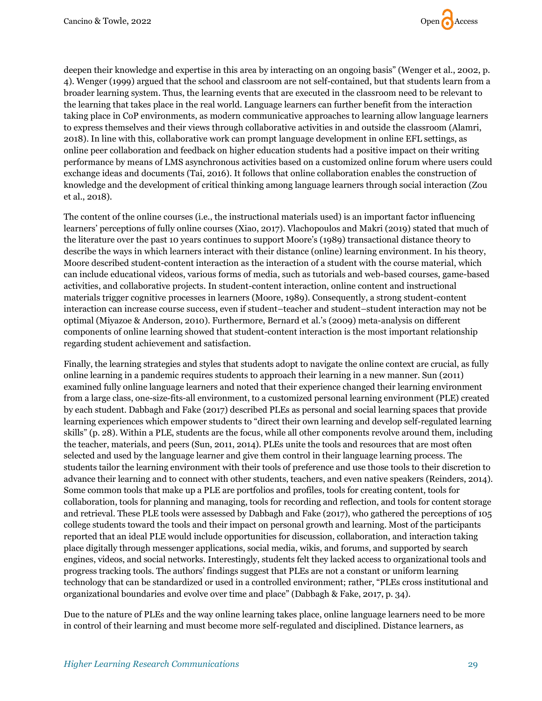

deepen their knowledge and expertise in this area by interacting on an ongoing basis" (Wenger et al., 2002, p. 4). Wenger (1999) argued that the school and classroom are not self-contained, but that students learn from a broader learning system. Thus, the learning events that are executed in the classroom need to be relevant to the learning that takes place in the real world. Language learners can further benefit from the interaction taking place in CoP environments, as modern communicative approaches to learning allow language learners to express themselves and their views through collaborative activities in and outside the classroom (Alamri, 2018). In line with this, collaborative work can prompt language development in online EFL settings, as online peer collaboration and feedback on higher education students had a positive impact on their writing performance by means of LMS asynchronous activities based on a customized online forum where users could exchange ideas and documents (Tai, 2016). It follows that online collaboration enables the construction of knowledge and the development of critical thinking among language learners through social interaction (Zou et al., 2018).

The content of the online courses (i.e., the instructional materials used) is an important factor influencing learners' perceptions of fully online courses (Xiao, 2017). Vlachopoulos and Makri (2019) stated that much of the literature over the past 10 years continues to support Moore's (1989) transactional distance theory to describe the ways in which learners interact with their distance (online) learning environment. In his theory, Moore described student-content interaction as the interaction of a student with the course material, which can include educational videos, various forms of media, such as tutorials and web-based courses, game-based activities, and collaborative projects. In student-content interaction, online content and instructional materials trigger cognitive processes in learners (Moore, 1989). Consequently, a strong student-content interaction can increase course success, even if student–teacher and student–student interaction may not be optimal (Miyazoe & Anderson, 2010). Furthermore, Bernard et al.'s (2009) meta-analysis on different components of online learning showed that student-content interaction is the most important relationship regarding student achievement and satisfaction.

Finally, the learning strategies and styles that students adopt to navigate the online context are crucial, as fully online learning in a pandemic requires students to approach their learning in a new manner. Sun (2011) examined fully online language learners and noted that their experience changed their learning environment from a large class, one-size-fits-all environment, to a customized personal learning environment (PLE) created by each student. Dabbagh and Fake (2017) described PLEs as personal and social learning spaces that provide learning experiences which empower students to "direct their own learning and develop self-regulated learning skills" (p. 28). Within a PLE, students are the focus, while all other components revolve around them, including the teacher, materials, and peers (Sun, 2011, 2014). PLEs unite the tools and resources that are most often selected and used by the language learner and give them control in their language learning process. The students tailor the learning environment with their tools of preference and use those tools to their discretion to advance their learning and to connect with other students, teachers, and even native speakers (Reinders, 2014). Some common tools that make up a PLE are portfolios and profiles, tools for creating content, tools for collaboration, tools for planning and managing, tools for recording and reflection, and tools for content storage and retrieval. These PLE tools were assessed by Dabbagh and Fake (2017), who gathered the perceptions of 105 college students toward the tools and their impact on personal growth and learning. Most of the participants reported that an ideal PLE would include opportunities for discussion, collaboration, and interaction taking place digitally through messenger applications, social media, wikis, and forums, and supported by search engines, videos, and social networks. Interestingly, students felt they lacked access to organizational tools and progress tracking tools. The authors' findings suggest that PLEs are not a constant or uniform learning technology that can be standardized or used in a controlled environment; rather, "PLEs cross institutional and organizational boundaries and evolve over time and place" (Dabbagh & Fake, 2017, p. 34).

Due to the nature of PLEs and the way online learning takes place, online language learners need to be more in control of their learning and must become more self-regulated and disciplined. Distance learners, as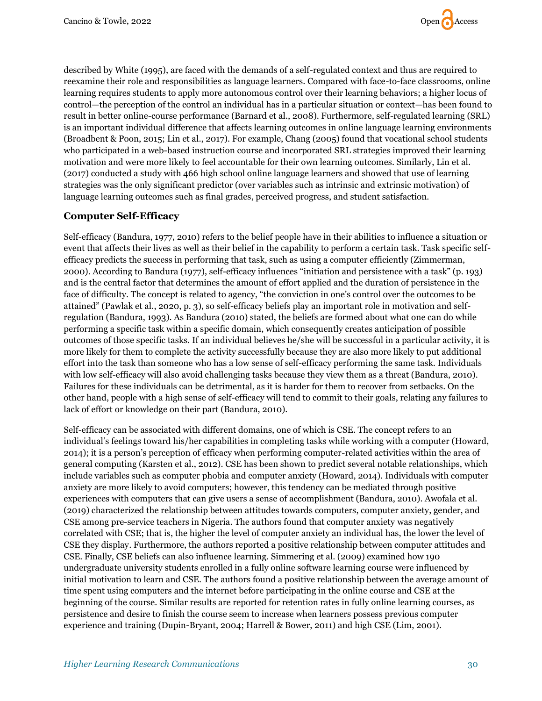

described by White (1995), are faced with the demands of a self-regulated context and thus are required to reexamine their role and responsibilities as language learners. Compared with face-to-face classrooms, online learning requires students to apply more autonomous control over their learning behaviors; a higher locus of control—the perception of the control an individual has in a particular situation or context—has been found to result in better online-course performance (Barnard et al., 2008). Furthermore, self-regulated learning (SRL) is an important individual difference that affects learning outcomes in online language learning environments (Broadbent & Poon, 2015; Lin et al., 2017). For example, Chang (2005) found that vocational school students who participated in a web-based instruction course and incorporated SRL strategies improved their learning motivation and were more likely to feel accountable for their own learning outcomes. Similarly, Lin et al. (2017) conducted a study with 466 high school online language learners and showed that use of learning strategies was the only significant predictor (over variables such as intrinsic and extrinsic motivation) of language learning outcomes such as final grades, perceived progress, and student satisfaction.

## **Computer Self-Efficacy**

Self-efficacy (Bandura, 1977, 2010) refers to the belief people have in their abilities to influence a situation or event that affects their lives as well as their belief in the capability to perform a certain task. Task specific selfefficacy predicts the success in performing that task, such as using a computer efficiently (Zimmerman, 2000). According to Bandura (1977), self-efficacy influences "initiation and persistence with a task" (p. 193) and is the central factor that determines the amount of effort applied and the duration of persistence in the face of difficulty. The concept is related to agency, "the conviction in one's control over the outcomes to be attained" (Pawlak et al., 2020, p. 3), so self-efficacy beliefs play an important role in motivation and selfregulation (Bandura, 1993). As Bandura (2010) stated, the beliefs are formed about what one can do while performing a specific task within a specific domain, which consequently creates anticipation of possible outcomes of those specific tasks. If an individual believes he/she will be successful in a particular activity, it is more likely for them to complete the activity successfully because they are also more likely to put additional effort into the task than someone who has a low sense of self-efficacy performing the same task. Individuals with low self-efficacy will also avoid challenging tasks because they view them as a threat (Bandura, 2010). Failures for these individuals can be detrimental, as it is harder for them to recover from setbacks. On the other hand, people with a high sense of self-efficacy will tend to commit to their goals, relating any failures to lack of effort or knowledge on their part (Bandura, 2010).

Self-efficacy can be associated with different domains, one of which is CSE. The concept refers to an individual's feelings toward his/her capabilities in completing tasks while working with a computer (Howard, 2014); it is a person's perception of efficacy when performing computer-related activities within the area of general computing (Karsten et al., 2012). CSE has been shown to predict several notable relationships, which include variables such as computer phobia and computer anxiety (Howard, 2014). Individuals with computer anxiety are more likely to avoid computers; however, this tendency can be mediated through positive experiences with computers that can give users a sense of accomplishment (Bandura, 2010). Awofala et al. (2019) characterized the relationship between attitudes towards computers, computer anxiety, gender, and CSE among pre-service teachers in Nigeria. The authors found that computer anxiety was negatively correlated with CSE; that is, the higher the level of computer anxiety an individual has, the lower the level of CSE they display. Furthermore, the authors reported a positive relationship between computer attitudes and CSE. Finally, CSE beliefs can also influence learning. Simmering et al. (2009) examined how 190 undergraduate university students enrolled in a fully online software learning course were influenced by initial motivation to learn and CSE. The authors found a positive relationship between the average amount of time spent using computers and the internet before participating in the online course and CSE at the beginning of the course. Similar results are reported for retention rates in fully online learning courses, as persistence and desire to finish the course seem to increase when learners possess previous computer experience and training (Dupin-Bryant, 2004; Harrell & Bower, 2011) and high CSE (Lim, 2001).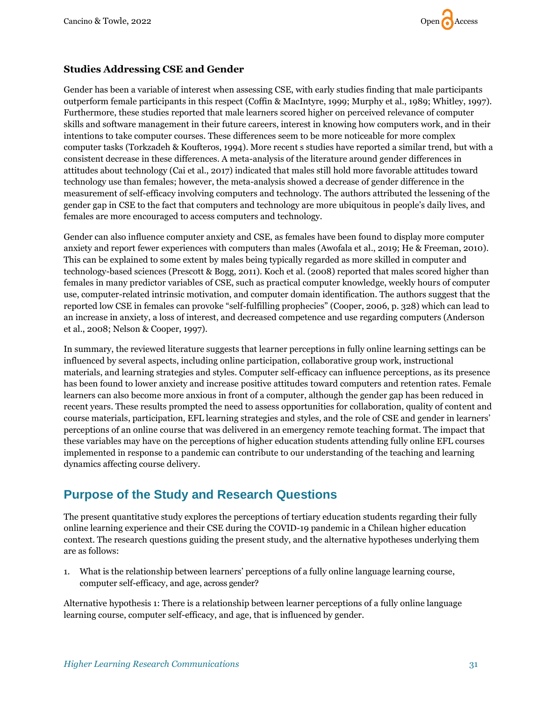

# **Studies Addressing CSE and Gender**

Gender has been a variable of interest when assessing CSE, with early studies finding that male participants outperform female participants in this respect (Coffin & MacIntyre, 1999; Murphy et al., 1989; Whitley, 1997). Furthermore, these studies reported that male learners scored higher on perceived relevance of computer skills and software management in their future careers, interest in knowing how computers work, and in their intentions to take computer courses. These differences seem to be more noticeable for more complex computer tasks (Torkzadeh & Koufteros, 1994). More recent s studies have reported a similar trend, but with a consistent decrease in these differences. A meta-analysis of the literature around gender differences in attitudes about technology (Cai et al., 2017) indicated that males still hold more favorable attitudes toward technology use than females; however, the meta-analysis showed a decrease of gender difference in the measurement of self-efficacy involving computers and technology. The authors attributed the lessening of the gender gap in CSE to the fact that computers and technology are more ubiquitous in people's daily lives, and females are more encouraged to access computers and technology.

Gender can also influence computer anxiety and CSE, as females have been found to display more computer anxiety and report fewer experiences with computers than males (Awofala et al., 2019; He & Freeman, 2010). This can be explained to some extent by males being typically regarded as more skilled in computer and technology-based sciences (Prescott & Bogg, 2011). Koch et al. (2008) reported that males scored higher than females in many predictor variables of CSE, such as practical computer knowledge, weekly hours of computer use, computer-related intrinsic motivation, and computer domain identification. The authors suggest that the reported low CSE in females can provoke "self-fulfilling prophecies" (Cooper, 2006, p. 328) which can lead to an increase in anxiety, a loss of interest, and decreased competence and use regarding computers (Anderson et al., 2008; Nelson & Cooper, 1997).

In summary, the reviewed literature suggests that learner perceptions in fully online learning settings can be influenced by several aspects, including online participation, collaborative group work, instructional materials, and learning strategies and styles. Computer self-efficacy can influence perceptions, as its presence has been found to lower anxiety and increase positive attitudes toward computers and retention rates. Female learners can also become more anxious in front of a computer, although the gender gap has been reduced in recent years. These results prompted the need to assess opportunities for collaboration, quality of content and course materials, participation, EFL learning strategies and styles, and the role of CSE and gender in learners' perceptions of an online course that was delivered in an emergency remote teaching format. The impact that these variables may have on the perceptions of higher education students attending fully online EFL courses implemented in response to a pandemic can contribute to our understanding of the teaching and learning dynamics affecting course delivery.

# **Purpose of the Study and Research Questions**

The present quantitative study explores the perceptions of tertiary education students regarding their fully online learning experience and their CSE during the COVID-19 pandemic in a Chilean higher education context. The research questions guiding the present study, and the alternative hypotheses underlying them are as follows:

1. What is the relationship between learners' perceptions of a fully online language learning course, computer self-efficacy, and age, across gender?

Alternative hypothesis 1: There is a relationship between learner perceptions of a fully online language learning course, computer self-efficacy, and age, that is influenced by gender.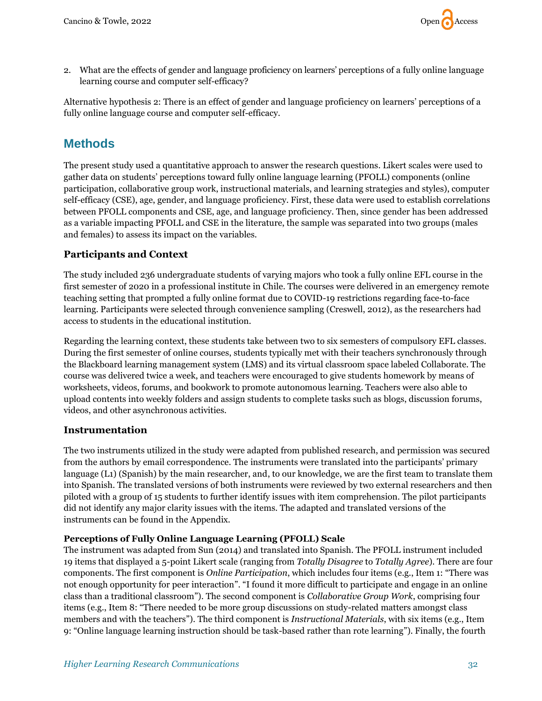

2. What are the effects of gender and language proficiency on learners' perceptions of a fully online language learning course and computer self-efficacy?

Alternative hypothesis 2: There is an effect of gender and language proficiency on learners' perceptions of a fully online language course and computer self-efficacy.

# **Methods**

The present study used a quantitative approach to answer the research questions. Likert scales were used to gather data on students' perceptions toward fully online language learning (PFOLL) components (online participation, collaborative group work, instructional materials, and learning strategies and styles), computer self-efficacy (CSE), age, gender, and language proficiency. First, these data were used to establish correlations between PFOLL components and CSE, age, and language proficiency. Then, since gender has been addressed as a variable impacting PFOLL and CSE in the literature, the sample was separated into two groups (males and females) to assess its impact on the variables.

# **Participants and Context**

The study included 236 undergraduate students of varying majors who took a fully online EFL course in the first semester of 2020 in a professional institute in Chile. The courses were delivered in an emergency remote teaching setting that prompted a fully online format due to COVID-19 restrictions regarding face-to-face learning. Participants were selected through convenience sampling (Creswell, 2012), as the researchers had access to students in the educational institution.

Regarding the learning context, these students take between two to six semesters of compulsory EFL classes. During the first semester of online courses, students typically met with their teachers synchronously through the Blackboard learning management system (LMS) and its virtual classroom space labeled Collaborate. The course was delivered twice a week, and teachers were encouraged to give students homework by means of worksheets, videos, forums, and bookwork to promote autonomous learning. Teachers were also able to upload contents into weekly folders and assign students to complete tasks such as blogs, discussion forums, videos, and other asynchronous activities.

## **Instrumentation**

The two instruments utilized in the study were adapted from published research, and permission was secured from the authors by email correspondence. The instruments were translated into the participants' primary language (L1) (Spanish) by the main researcher, and, to our knowledge, we are the first team to translate them into Spanish. The translated versions of both instruments were reviewed by two external researchers and then piloted with a group of 15 students to further identify issues with item comprehension. The pilot participants did not identify any major clarity issues with the items. The adapted and translated versions of the instruments can be found in the Appendix.

#### **Perceptions of Fully Online Language Learning (PFOLL) Scale**

The instrument was adapted from Sun (2014) and translated into Spanish. The PFOLL instrument included 19 items that displayed a 5-point Likert scale (ranging from *Totally Disagree* to *Totally Agree*). There are four components. The first component is *Online Participation*, which includes four items (e.g., Item 1: "There was not enough opportunity for peer interaction". "I found it more difficult to participate and engage in an online class than a traditional classroom"). The second component is *Collaborative Group Work*, comprising four items (e.g., Item 8: "There needed to be more group discussions on study-related matters amongst class members and with the teachers"). The third component is *Instructional Materials*, with six items (e.g., Item 9: "Online language learning instruction should be task-based rather than rote learning"). Finally, the fourth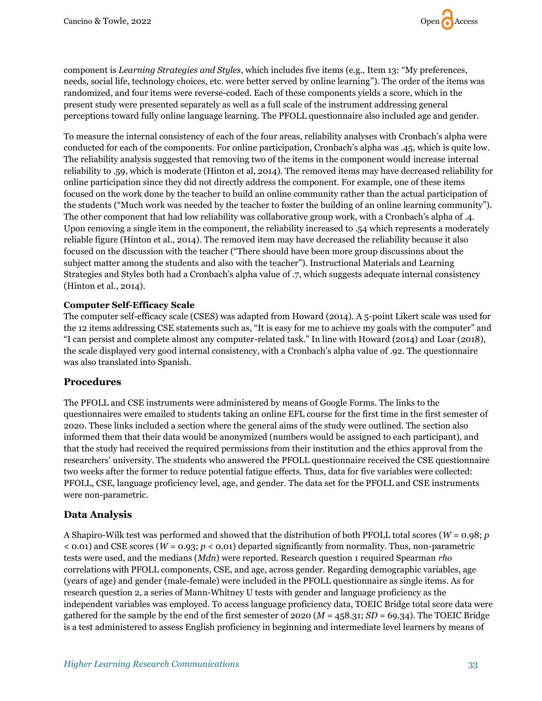

component is *Learning Strategies and Styles*, which includes five items (e.g., Item 13: "My preferences, needs, social life, technology choices, etc. were better served by online learning"). The order of the items was randomized, and four items were reverse-coded. Each of these components yields a score, which in the present study were presented separately as well as a full scale of the instrument addressing general perceptions toward fully online language learning. The PFOLL questionnaire also included age and gender.

To measure the internal consistency of each of the four areas, reliability analyses with Cronbach's alpha were conducted for each of the components. For online participation, Cronbach's alpha was .45, which is quite low. The reliability analysis suggested that removing two of the items in the component would increase internal reliability to .59, which is moderate (Hinton et al, 2014). The removed items may have decreased reliability for online participation since they did not directly address the component. For example, one of these items focused on the work done by the teacher to build an online community rather than the actual participation of the students ("Much work was needed by the teacher to foster the building of an online learning community"). The other component that had low reliability was collaborative group work, with a Cronbach's alpha of .4. Upon removing a single item in the component, the reliability increased to .54 which represents a moderately reliable figure (Hinton et al., 2014). The removed item may have decreased the reliability because it also focused on the discussion with the teacher ("There should have been more group discussions about the subject matter among the students and also with the teacher"). Instructional Materials and Learning Strategies and Styles both had a Cronbach's alpha value of .7, which suggests adequate internal consistency (Hinton et al., 2014).

#### **Computer Self-Efficacy Scale**

The computer self-efficacy scale (CSES) was adapted from Howard (2014). A 5-point Likert scale was used for the 12 items addressing CSE statements such as, "It is easy for me to achieve my goals with the computer" and "I can persist and complete almost any computer-related task." In line with Howard (2014) and Loar (2018), the scale displayed very good internal consistency, with a Cronbach's alpha value of .92. The questionnaire was also translated into Spanish.

## **Procedures**

The PFOLL and CSE instruments were administered by means of Google Forms. The links to the questionnaires were emailed to students taking an online EFL course for the first time in the first semester of 2020. These links included a section where the general aims of the study were outlined. The section also informed them that their data would be anonymized (numbers would be assigned to each participant), and that the study had received the required permissions from their institution and the ethics approval from the researchers' university. The students who answered the PFOLL questionnaire received the CSE questionnaire two weeks after the former to reduce potential fatigue effects. Thus, data for five variables were collected: PFOLL, CSE, language proficiency level, age, and gender. The data set for the PFOLL and CSE instruments were non-parametric.

## **Data Analysis**

A Shapiro-Wilk test was performed and showed that the distribution of both PFOLL total scores (*W* = 0.98; *p*  $<$  0.01) and CSE scores (*W* = 0.93; *p*  $<$  0.01) departed significantly from normality. Thus, non-parametric tests were used, and the medians (*Mdn*) were reported. Research question 1 required Spearman *rho* correlations with PFOLL components, CSE, and age, across gender. Regarding demographic variables, age (years of age) and gender (male-female) were included in the PFOLL questionnaire as single items. As for research question 2, a series of Mann-Whitney U tests with gender and language proficiency as the independent variables was employed. To access language proficiency data, TOEIC Bridge total score data were gathered for the sample by the end of the first semester of  $2020 (M = 458.31; SD = 69.34)$ . The TOEIC Bridge is a test administered to assess English proficiency in beginning and intermediate level learners by means of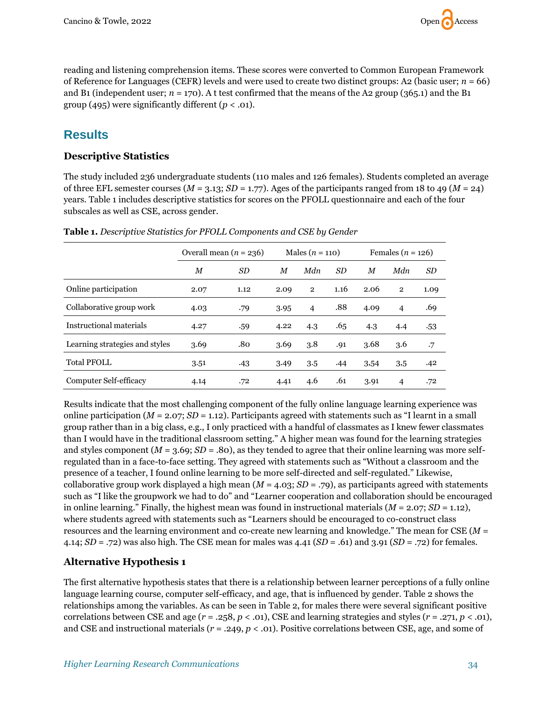

reading and listening comprehension items. These scores were converted to Common European Framework of Reference for Languages (CEFR) levels and were used to create two distinct groups: A2 (basic user; *n* = 66) and B1 (independent user;  $n = 170$ ). At test confirmed that the means of the A2 group (365.1) and the B1 group (495) were significantly different ( $p < .01$ ).

# **Results**

# **Descriptive Statistics**

The study included 236 undergraduate students (110 males and 126 females). Students completed an average of three EFL semester courses ( $M = 3.13$ ;  $SD = 1.77$ ). Ages of the participants ranged from 18 to 49 ( $M = 24$ ) years. Table 1 includes descriptive statistics for scores on the PFOLL questionnaire and each of the four subscales as well as CSE, across gender.

|                                | Overall mean $(n = 236)$ |           | Males $(n = 110)$ |                | Females $(n = 126)$ |      |                |           |
|--------------------------------|--------------------------|-----------|-------------------|----------------|---------------------|------|----------------|-----------|
|                                | $\boldsymbol{M}$         | <b>SD</b> | M                 | Mdn            | <b>SD</b>           | M    | Mdn            | <i>SD</i> |
| Online participation           | 2.07                     | 1.12      | 2.09              | $\overline{2}$ | 1.16                | 2.06 | $\overline{2}$ | 1.09      |
| Collaborative group work       | 4.03                     | .79       | 3.95              | 4              | .88                 | 4.09 | $\overline{4}$ | .69       |
| Instructional materials        | 4.27                     | .59       | 4.22              | 4.3            | .65                 | 4.3  | 4.4            | .53       |
| Learning strategies and styles | 3.69                     | .80       | 3.69              | 3.8            | .91                 | 3.68 | 3.6            | $\cdot$ 7 |
| <b>Total PFOLL</b>             | 3.51                     | .43       | 3.49              | 3.5            | .44                 | 3,54 | 3,5            | .42       |
| Computer Self-efficacy         | 4.14                     | .72       | 4.41              | 4.6            | .61                 | 3.91 | $\overline{4}$ | .72       |

**Table 1.** *Descriptive Statistics for PFOLL Components and CSE by Gender*

Results indicate that the most challenging component of the fully online language learning experience was online participation  $(M = 2.07; SD = 1.12)$ . Participants agreed with statements such as "I learnt in a small group rather than in a big class, e.g., I only practiced with a handful of classmates as I knew fewer classmates than I would have in the traditional classroom setting." A higher mean was found for the learning strategies and styles component  $(M = 3.69; SD = .80)$ , as they tended to agree that their online learning was more selfregulated than in a face-to-face setting. They agreed with statements such as "Without a classroom and the presence of a teacher, I found online learning to be more self-directed and self-regulated." Likewise, collaborative group work displayed a high mean (*M* = 4.03; *SD* = .79), as participants agreed with statements such as "I like the groupwork we had to do" and "Learner cooperation and collaboration should be encouraged in online learning." Finally, the highest mean was found in instructional materials (*M* = 2.07; *SD* = 1.12), where students agreed with statements such as "Learners should be encouraged to co-construct class resources and the learning environment and co-create new learning and knowledge." The mean for CSE (*M* = 4.14; *SD* = .72) was also high. The CSE mean for males was 4.41 (*SD* = .61) and 3.91 (*SD* = .72) for females.

# **Alternative Hypothesis 1**

The first alternative hypothesis states that there is a relationship between learner perceptions of a fully online language learning course, computer self-efficacy, and age, that is influenced by gender. Table 2 shows the relationships among the variables. As can be seen in Table 2, for males there were several significant positive correlations between CSE and age  $(r = .258, p < .01)$ , CSE and learning strategies and styles  $(r = .271, p < .01)$ , and CSE and instructional materials ( $r = .249$ ,  $p < .01$ ). Positive correlations between CSE, age, and some of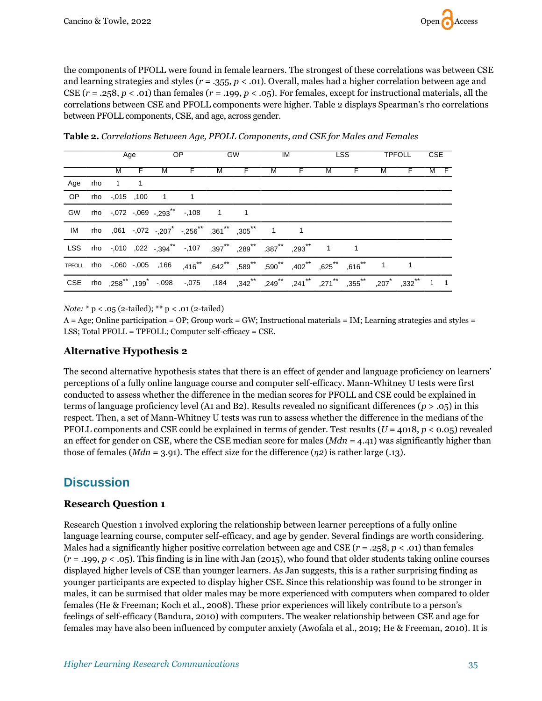the components of PFOLL were found in female learners. The strongest of these correlations was between CSE and learning strategies and styles (*r* = .355, *p* < .01). Overall, males had a higher correlation between age and CSE  $(r = .258, p < .01)$  than females  $(r = .199, p < .05)$ . For females, except for instructional materials, all the correlations between CSE and PFOLL components were higher. Table 2 displays Spearman's rho correlations between PFOLL components, CSE, and age, across gender.

|     | Age     |  | OP.                |                                                                                                                                                                                                                                        | GW |  | $IM$ and $M$ |  | <b>LSS</b> |  | TPFOLL |  | CSE |  |
|-----|---------|--|--------------------|----------------------------------------------------------------------------------------------------------------------------------------------------------------------------------------------------------------------------------------|----|--|--------------|--|------------|--|--------|--|-----|--|
|     | M       |  | M                  |                                                                                                                                                                                                                                        | м  |  | M            |  | M          |  | M      |  |     |  |
| Age | rho 1 1 |  |                    |                                                                                                                                                                                                                                        |    |  |              |  |            |  |        |  |     |  |
| OP  |         |  | rho -,015 ,100 1 1 |                                                                                                                                                                                                                                        |    |  |              |  |            |  |        |  |     |  |
| GW  |         |  |                    | rho -,072 -,069 -,293 <sup>**</sup> -,108 1 1                                                                                                                                                                                          |    |  |              |  |            |  |        |  |     |  |
|     |         |  |                    |                                                                                                                                                                                                                                        |    |  |              |  |            |  |        |  |     |  |
|     |         |  |                    |                                                                                                                                                                                                                                        |    |  |              |  |            |  |        |  |     |  |
|     |         |  |                    | TPFOLL rho -,060 -,005 ,166 ,416** ,642** ,589** ,590** ,402** ,625** ,616** 1 1                                                                                                                                                       |    |  |              |  |            |  |        |  |     |  |
|     |         |  |                    | 1 1 232°, 271 <sup>**</sup> 271 <sup>**</sup> 275°, 249 <sup>**</sup> 241 <sup>**</sup> 271 <sup>**</sup> 271 <sup>**</sup> 277 <sup>**</sup> 277 <sup>**</sup> 277 <sup>*</sup> 277 <sup>*</sup> 207 <sup>*</sup> 282 <sup>**</sup> 1 |    |  |              |  |            |  |        |  |     |  |

**Table 2.** *Correlations Between Age, PFOLL Components, and CSE for Males and Females*

*Note:* \* p < .05 (2-tailed); \*\* p < .01 (2-tailed)

A = Age; Online participation = OP; Group work = GW; Instructional materials = IM; Learning strategies and styles = LSS; Total PFOLL = TPFOLL; Computer self-efficacy = CSE.

# **Alternative Hypothesis 2**

The second alternative hypothesis states that there is an effect of gender and language proficiency on learners' perceptions of a fully online language course and computer self-efficacy. Mann-Whitney U tests were first conducted to assess whether the difference in the median scores for PFOLL and CSE could be explained in terms of language proficiency level (A1 and B2). Results revealed no significant differences (*p* > .05) in this respect. Then, a set of Mann-Whitney U tests was run to assess whether the difference in the medians of the PFOLL components and CSE could be explained in terms of gender. Test results (*U* = 4018, *p* < 0.05) revealed an effect for gender on CSE, where the CSE median score for males (*Mdn* = 4.41) was significantly higher than those of females ( $Mdn = 3.91$ ). The effect size for the difference ( $\eta$ 2) is rather large (.13).

# **Discussion**

# **Research Question 1**

Research Question 1 involved exploring the relationship between learner perceptions of a fully online language learning course, computer self-efficacy, and age by gender. Several findings are worth considering. Males had a significantly higher positive correlation between age and CSE  $(r = .258, p < .01)$  than females (*r* = .199, *p* < .05). This finding is in line with Jan (2015), who found that older students taking online courses displayed higher levels of CSE than younger learners. As Jan suggests, this is a rather surprising finding as younger participants are expected to display higher CSE. Since this relationship was found to be stronger in males, it can be surmised that older males may be more experienced with computers when compared to older females (He & Freeman; Koch et al., 2008). These prior experiences will likely contribute to a person's feelings of self-efficacy (Bandura, 2010) with computers. The weaker relationship between CSE and age for females may have also been influenced by computer anxiety (Awofala et al., 2019; He & Freeman, 2010). It is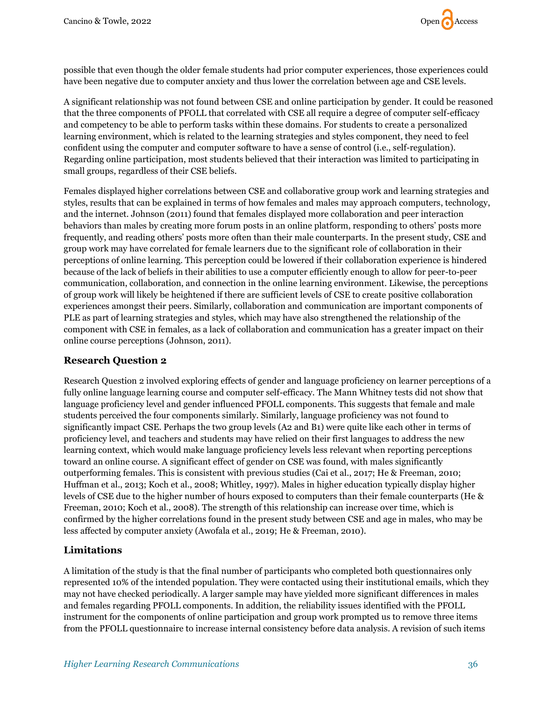

possible that even though the older female students had prior computer experiences, those experiences could have been negative due to computer anxiety and thus lower the correlation between age and CSE levels.

A significant relationship was not found between CSE and online participation by gender. It could be reasoned that the three components of PFOLL that correlated with CSE all require a degree of computer self-efficacy and competency to be able to perform tasks within these domains. For students to create a personalized learning environment, which is related to the learning strategies and styles component, they need to feel confident using the computer and computer software to have a sense of control (i.e., self-regulation). Regarding online participation, most students believed that their interaction was limited to participating in small groups, regardless of their CSE beliefs.

Females displayed higher correlations between CSE and collaborative group work and learning strategies and styles, results that can be explained in terms of how females and males may approach computers, technology, and the internet. Johnson (2011) found that females displayed more collaboration and peer interaction behaviors than males by creating more forum posts in an online platform, responding to others' posts more frequently, and reading others' posts more often than their male counterparts. In the present study, CSE and group work may have correlated for female learners due to the significant role of collaboration in their perceptions of online learning. This perception could be lowered if their collaboration experience is hindered because of the lack of beliefs in their abilities to use a computer efficiently enough to allow for peer-to-peer communication, collaboration, and connection in the online learning environment. Likewise, the perceptions of group work will likely be heightened if there are sufficient levels of CSE to create positive collaboration experiences amongst their peers. Similarly, collaboration and communication are important components of PLE as part of learning strategies and styles, which may have also strengthened the relationship of the component with CSE in females, as a lack of collaboration and communication has a greater impact on their online course perceptions (Johnson, 2011).

## **Research Question 2**

Research Question 2 involved exploring effects of gender and language proficiency on learner perceptions of a fully online language learning course and computer self-efficacy. The Mann Whitney tests did not show that language proficiency level and gender influenced PFOLL components. This suggests that female and male students perceived the four components similarly. Similarly, language proficiency was not found to significantly impact CSE. Perhaps the two group levels (A2 and B1) were quite like each other in terms of proficiency level, and teachers and students may have relied on their first languages to address the new learning context, which would make language proficiency levels less relevant when reporting perceptions toward an online course. A significant effect of gender on CSE was found, with males significantly outperforming females. This is consistent with previous studies (Cai et al., 2017; He & Freeman, 2010; Huffman et al., 2013; Koch et al., 2008; Whitley, 1997). Males in higher education typically display higher levels of CSE due to the higher number of hours exposed to computers than their female counterparts (He & Freeman, 2010; Koch et al., 2008). The strength of this relationship can increase over time, which is confirmed by the higher correlations found in the present study between CSE and age in males, who may be less affected by computer anxiety (Awofala et al., 2019; He & Freeman, 2010).

## **Limitations**

A limitation of the study is that the final number of participants who completed both questionnaires only represented 10% of the intended population. They were contacted using their institutional emails, which they may not have checked periodically. A larger sample may have yielded more significant differences in males and females regarding PFOLL components. In addition, the reliability issues identified with the PFOLL instrument for the components of online participation and group work prompted us to remove three items from the PFOLL questionnaire to increase internal consistency before data analysis. A revision of such items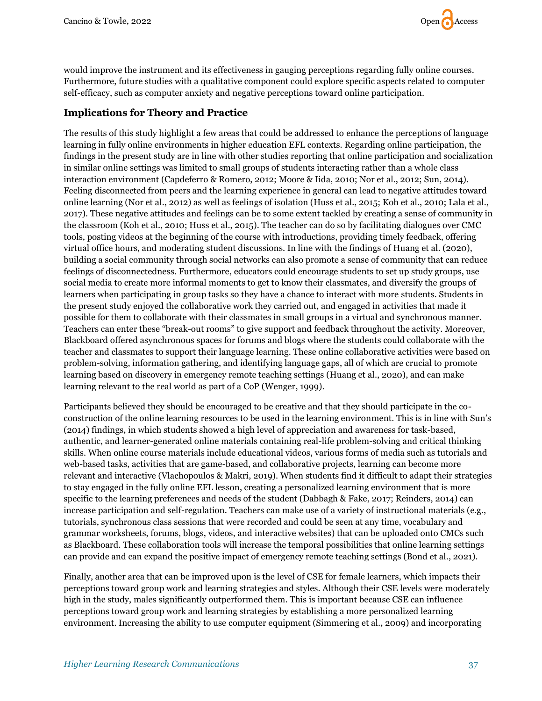would improve the instrument and its effectiveness in gauging perceptions regarding fully online courses. Furthermore, future studies with a qualitative component could explore specific aspects related to computer self-efficacy, such as computer anxiety and negative perceptions toward online participation.

# **Implications for Theory and Practice**

The results of this study highlight a few areas that could be addressed to enhance the perceptions of language learning in fully online environments in higher education EFL contexts. Regarding online participation, the findings in the present study are in line with other studies reporting that online participation and socialization in similar online settings was limited to small groups of students interacting rather than a whole class interaction environment (Capdeferro & Romero, 2012; Moore & Iida, 2010; Nor et al., 2012; Sun, 2014). Feeling disconnected from peers and the learning experience in general can lead to negative attitudes toward online learning (Nor et al., 2012) as well as feelings of isolation (Huss et al., 2015; Koh et al., 2010; Lala et al., 2017). These negative attitudes and feelings can be to some extent tackled by creating a sense of community in the classroom (Koh et al., 2010; Huss et al., 2015). The teacher can do so by facilitating dialogues over CMC tools, posting videos at the beginning of the course with introductions, providing timely feedback, offering virtual office hours, and moderating student discussions. In line with the findings of Huang et al. (2020), building a social community through social networks can also promote a sense of community that can reduce feelings of disconnectedness. Furthermore, educators could encourage students to set up study groups, use social media to create more informal moments to get to know their classmates, and diversify the groups of learners when participating in group tasks so they have a chance to interact with more students. Students in the present study enjoyed the collaborative work they carried out, and engaged in activities that made it possible for them to collaborate with their classmates in small groups in a virtual and synchronous manner. Teachers can enter these "break-out rooms" to give support and feedback throughout the activity. Moreover, Blackboard offered asynchronous spaces for forums and blogs where the students could collaborate with the teacher and classmates to support their language learning. These online collaborative activities were based on problem-solving, information gathering, and identifying language gaps, all of which are crucial to promote learning based on discovery in emergency remote teaching settings (Huang et al., 2020), and can make learning relevant to the real world as part of a CoP (Wenger, 1999).

Participants believed they should be encouraged to be creative and that they should participate in the coconstruction of the online learning resources to be used in the learning environment. This is in line with Sun's (2014) findings, in which students showed a high level of appreciation and awareness for task-based, authentic, and learner-generated online materials containing real-life problem-solving and critical thinking skills. When online course materials include educational videos, various forms of media such as tutorials and web-based tasks, activities that are game-based, and collaborative projects, learning can become more relevant and interactive (Vlachopoulos & Makri, 2019). When students find it difficult to adapt their strategies to stay engaged in the fully online EFL lesson, creating a personalized learning environment that is more specific to the learning preferences and needs of the student (Dabbagh & Fake, 2017; Reinders, 2014) can increase participation and self-regulation. Teachers can make use of a variety of instructional materials (e.g., tutorials, synchronous class sessions that were recorded and could be seen at any time, vocabulary and grammar worksheets, forums, blogs, videos, and interactive websites) that can be uploaded onto CMCs such as Blackboard. These collaboration tools will increase the temporal possibilities that online learning settings can provide and can expand the positive impact of emergency remote teaching settings (Bond et al., 2021).

Finally, another area that can be improved upon is the level of CSE for female learners, which impacts their perceptions toward group work and learning strategies and styles. Although their CSE levels were moderately high in the study, males significantly outperformed them. This is important because CSE can influence perceptions toward group work and learning strategies by establishing a more personalized learning environment. Increasing the ability to use computer equipment (Simmering et al., 2009) and incorporating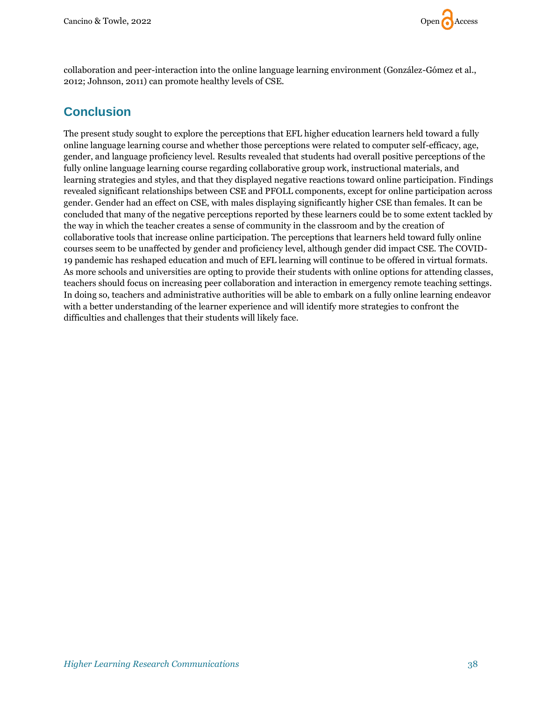

collaboration and peer-interaction into the online language learning environment (González-Gómez et al., 2012; Johnson, 2011) can promote healthy levels of CSE.

# **Conclusion**

The present study sought to explore the perceptions that EFL higher education learners held toward a fully online language learning course and whether those perceptions were related to computer self-efficacy, age, gender, and language proficiency level. Results revealed that students had overall positive perceptions of the fully online language learning course regarding collaborative group work, instructional materials, and learning strategies and styles, and that they displayed negative reactions toward online participation. Findings revealed significant relationships between CSE and PFOLL components, except for online participation across gender. Gender had an effect on CSE, with males displaying significantly higher CSE than females. It can be concluded that many of the negative perceptions reported by these learners could be to some extent tackled by the way in which the teacher creates a sense of community in the classroom and by the creation of collaborative tools that increase online participation. The perceptions that learners held toward fully online courses seem to be unaffected by gender and proficiency level, although gender did impact CSE. The COVID-19 pandemic has reshaped education and much of EFL learning will continue to be offered in virtual formats. As more schools and universities are opting to provide their students with online options for attending classes, teachers should focus on increasing peer collaboration and interaction in emergency remote teaching settings. In doing so, teachers and administrative authorities will be able to embark on a fully online learning endeavor with a better understanding of the learner experience and will identify more strategies to confront the difficulties and challenges that their students will likely face.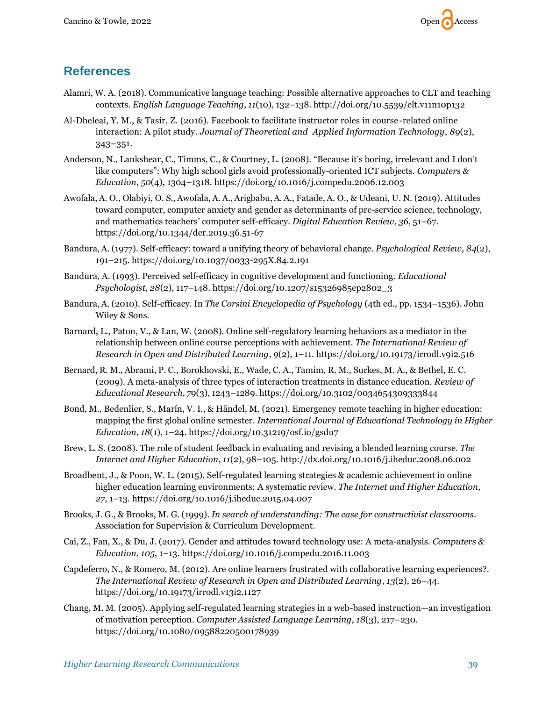

# **References**

- Alamri, W. A. (2018). Communicative language teaching: Possible alternative approaches to CLT and teaching contexts. *English Language Teaching*, *11*(10), 132–138. <http://doi.org/10.5539/elt.v11n10p132>
- Al-Dheleai, Y. M., & Tasir, Z. (2016). Facebook to facilitate instructor roles in course-related online interaction: A pilot study. *Journal of Theoretical and Applied Information Technology*, *89*(2), 343–351.
- Anderson, N., Lankshear, C., Timms, C., & Courtney, L. (2008). "Because it's boring, irrelevant and I don't like computers": Why high school girls avoid professionally-oriented ICT subjects. *Computers & Education*, *50*(4), 1304–1318. <https://doi.org/10.1016/j.compedu.2006.12.003>
- Awofala, A. O., Olabiyi, O. S.,Awofala, A. A.,Arigbabu,A. A., Fatade, A. O., & Udeani, U. N. (2019). Attitudes toward computer, computer anxiety and gender as determinants of pre-service science, technology, and mathematics teachers' computer self-efficacy. *Digital Education Review*, *36*, 51–67. [https://doi.org/10.1344/der.2019.36.51-67](https://doi.org/10.1344/der.2019.36.51-67 )
- Bandura,A. (1977). Self-efficacy: toward a unifying theory of behavioral change. *Psychological Review*, *84*(2), 191–215. [https://doi.org/10.1037/0033-295X.84.2.191](https://psycnet.apa.org/doi/10.1037/0033-295X.84.2.191)
- Bandura, A. (1993). Perceived self-efficacy in cognitive development and functioning. *Educational Psychologist, 28*(2), 117–148. [https://doi.org/10.1207/s15326985ep2802\\_3](https://doi.org/10.1207/s15326985ep2802_3)
- Bandura,A. (2010). Self-efficacy. In *The Corsini Encyclopedia of Psychology* (4th ed., pp. 1534–1536). John Wiley & Sons.
- Barnard, L., Paton, V., & Lan, W. (2008). Online self-regulatory learning behaviors as a mediator in the relationship between online course perceptions with achievement. *The International Review of Research in Open and Distributed Learning*, *9*(2), 1–11. <https://doi.org/10.19173/irrodl.v9i2.516>
- Bernard, R. M., Abrami, P. C., Borokhovski, E., Wade, C. A., Tamim, R. M., Surkes, M. A., & Bethel, E. C. (2009). A meta-analysis of three types of interaction treatments in distance education. *Review of Educational Research*, *79*(3), 1243–1289. [https://doi.org/10.3102/0034654309333844](https://doi.org/10.3102%2F0034654309333844)
- Bond, M., Bedenlier, S., Marín, V. I., & Händel, M. (2021). Emergency remote teaching in higher education: mapping the first global online semester. *International Journal of Educational Technology in Higher Education*, *18*(1), 1–24. https://doi.org/10.31219/osf.io/gsdu7
- Brew, L. S. (2008). The role of student feedback in evaluating and revising a blended learning course. *The Internet and Higher Education*, *11*(2), 98–105. <http://dx.doi.org/10.1016/j.iheduc.2008.06.002>
- Broadbent, J., & Poon, W. L. (2015). Self-regulated learning strategies & academic achievement in online higher education learning environments: A systematic review. *The Internet and Higher Education*, *27*, 1–13. <https://doi.org/10.1016/j.iheduc.2015.04.007>
- Brooks, J. G., & Brooks, M. G. (1999). *In search of understanding: The case for constructivist classrooms*. Association for Supervision & Curriculum Development.
- Cai, Z., Fan, X., & Du, J. (2017). Gender and attitudes toward technology use: A meta-analysis. *Computers & Education*, *105*, 1–13. <https://doi.org/10.1016/j.compedu.2016.11.003>
- Capdeferro, N., & Romero, M. (2012). Are online learners frustrated with collaborative learning experiences?. *The International Review of Research in Open and Distributed Learning*, *13*(2), 26–44. <https://doi.org/10.19173/irrodl.v13i2.1127>
- Chang, M. M. (2005). Applying self-regulated learning strategies in a web-based instruction—an investigation of motivation perception. *Computer Assisted Language Learning*, *18*(3), 217–230. <https://doi.org/10.1080/09588220500178939>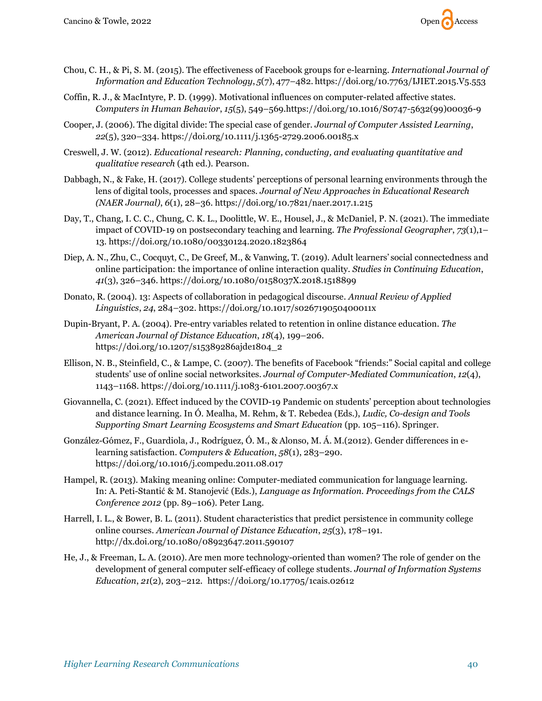

- Chou, C. H., & Pi, S. M. (2015). The effectiveness of Facebook groups for e-learning. *International Journal of Information and Education Technology*, *5*(7), 477–482. <https://doi.org/10.7763/IJIET.2015.V5.553>
- Coffin, R. J., & MacIntyre, P. D. (1999). Motivational influences on computer-related affective states. *Computers in Human Behavior*, *15*(5), 549–569[.https://doi.org/10.1016/S0747-5632\(99\)00036-9](https://psycnet.apa.org/doi/10.1016/S0747-5632(99)00036-9)
- Cooper, J. (2006). The digital divide: The special case of gender. *Journal of Computer Assisted Learning*, *22*(5), 320–334. <https://doi.org/10.1111/j.1365-2729.2006.00185.x>
- Creswell, J. W. (2012). *Educational research: Planning, conducting, and evaluating quantitative and qualitative research* (4th ed.). Pearson.
- Dabbagh, N., & Fake, H. (2017). College students' perceptions of personal learning environments through the lens of digital tools, processes and spaces. *Journal of New Approaches in Educational Research (NAER Journal)*, *6*(1), 28–36. <https://doi.org/10.7821/naer.2017.1.215>
- Day, T., Chang, I. C. C., Chung, C. K. L., Doolittle, W. E., Housel, J., & McDaniel, P. N. (2021). The immediate impact of COVID-19 on postsecondary teaching and learning. *The Professional Geographer*, *73*(1),1– 13. <https://doi.org/10.1080/00330124.2020.1823864>
- Diep, A. N., Zhu, C., Cocquyt, C., De Greef, M., & Vanwing, T. (2019). Adult learners' social connectedness and online participation: the importance of online interaction quality. *Studies in Continuing Education*, *41*(3), 326–346. <https://doi.org/10.1080/0158037X.2018.1518899>
- Donato, R. (2004). 13: Aspects of collaboration in pedagogical discourse. *Annual Review of Applied Linguistics*, *24*, 284–302. <https://doi.org/10.1017/s026719050400011x>
- Dupin-Bryant, P. A. (2004). Pre-entry variables related to retention in online distance education. *The American Journal of Distance Education*, *18*(4), 199–206. [https://doi.org/10.1207/s15389286ajde1804\\_2](https://doi.org/10.1207/s15389286ajde1804_2)
- Ellison, N. B., Steinfield, C., & Lampe, C. (2007). The benefits of Facebook "friends:" Social capital and college students' use of online social networksites. *Journal of Computer-Mediated Communication*, *12*(4), 1143–1168. <https://doi.org/10.1111/j.1083-6101.2007.00367.x>
- Giovannella, C. (2021). Effect induced by the COVID-19 Pandemic on students' perception about technologies and distance learning. In Ó. Mealha, M. Rehm, & T. Rebedea (Eds.), *Ludic, Co-design and Tools Supporting Smart Learning Ecosystems and Smart Education* (pp. 105–116). Springer.
- González-Gómez, F., Guardiola, J., Rodríguez, Ó. M., & Alonso, M. Á. M.(2012). Gender differences in elearning satisfaction. *Computers & Education*, *58*(1), 283–290. <https://doi.org/10.1016/j.compedu.2011.08.017>
- Hampel, R. (2013). Making meaning online: Computer-mediated communication for language learning. In: A. Peti-Stantić & M. Stanojević (Eds.), *Language as Information. Proceedings from the CALS Conference 2012* (pp. 89–106). Peter Lang.
- Harrell, I. L., & Bower, B. L. (2011). Student characteristics that predict persistence in community college online courses. *American Journal of Distance Education*, *25*(3), 178–191. <http://dx.doi.org/10.1080/08923647.2011.590107>
- He, J., & Freeman, L. A. (2010). Are men more technology-oriented than women? The role of gender on the development of general computer self-efficacy of college students. *Journal of Information Systems Education*, *21*(2), 203–212. <https://doi.org/10.17705/1cais.02612>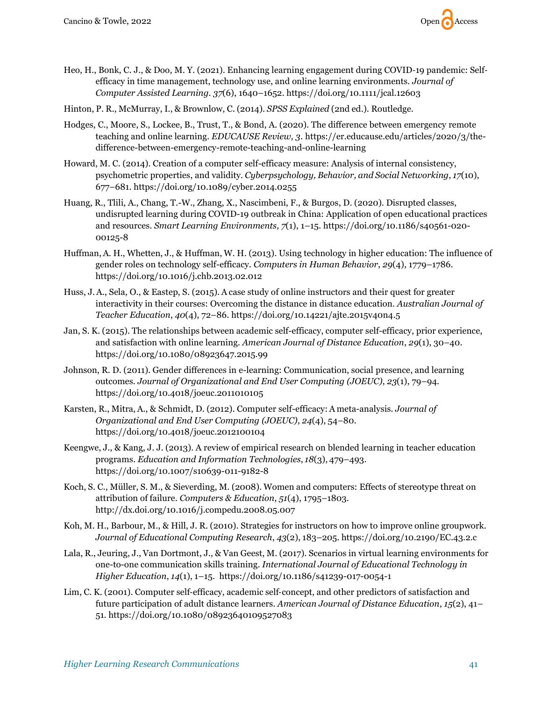

- Heo, H., Bonk, C. J., & Doo, M. Y. (2021). Enhancing learning engagement during COVID‐19 pandemic: Self‐ efficacy in time management, technology use, and online learning environments. *Journal of Computer Assisted Learning. 37*(6), 1640–1652. https://doi.org/10.1111/jcal.12603
- Hinton, P. R., McMurray, I., & Brownlow, C. (2014). *SPSS Explained* (2nd ed.). Routledge.
- Hodges, C., Moore, S., Lockee, B., Trust, T., & Bond, A. (2020). The difference between emergency remote teaching and online learning*. EDUCAUSE Review, 3*[. https://er.educause.edu/articles/2020/3/the](https://er.educause.edu/articles/2020/3/the-difference-between-emergency-remote-teaching-and-online-learning)[difference-between-emergency-remote-teaching-and-online-learning](https://er.educause.edu/articles/2020/3/the-difference-between-emergency-remote-teaching-and-online-learning)
- Howard, M. C. (2014). Creation of a computer self-efficacy measure: Analysis of internal consistency, psychometric properties, and validity. *Cyberpsychology, Behavior, and Social Networking*, *17*(10), 677–681. <https://doi.org/10.1089/cyber.2014.0255>
- Huang, R., Tlili, A., Chang, T.-W., Zhang, X., Nascimbeni, F., & Burgos, D. (2020). Disrupted classes, undisrupted learning during COVID-19 outbreak in China: Application of open educational practices and resources. *Smart Learning Environments, 7*(1), 1–15. https://doi.org/10.1186/s40561-020- 00125-8
- Huffman,A. H., Whetten, J., & Huffman, W. H. (2013). Using technology in higher education: The influence of gender roles on technology self-efficacy. *Computers in Human Behavior*, *29*(4), 1779–1786. <https://doi.org/10.1016/j.chb.2013.02.012>
- Huss, J.A., Sela, O., & Eastep, S. (2015). A case study of online instructors and their quest for greater interactivity in their courses: Overcoming the distance in distance education. *Australian Journal of Teacher Education*, *40*(4), 72–86.<https://doi.org/10.14221/ajte.2015v40n4.5>
- Jan, S. K. (2015). The relationships between academic self-efficacy, computer self-efficacy, prior experience, and satisfaction with online learning. *American Journal of Distance Education*, *29*(1), 30–40. https://doi.org/10.1080/08923647.2015.99
- Johnson, R. D. (2011). Gender differences in e-learning: Communication, social presence, and learning outcomes. *Journal of Organizational and End User Computing (JOEUC)*, *23*(1), 79–94. <https://doi.org/10.4018/joeuc.2011010105>
- Karsten, R., Mitra, A., & Schmidt, D. (2012). Computer self-efficacy: A meta-analysis. *Journal of Organizational and End User Computing (JOEUC)*, *24*(4), 54–80. <https://doi.org/10.4018/joeuc.2012100104>
- Keengwe, J., & Kang, J. J. (2013). A review of empirical research on blended learning in teacher education programs. *Education and Information Technologies*, *18*(3), 479–493. <https://doi.org/10.1007/s10639-011-9182-8>
- Koch, S. C., Müller, S. M., & Sieverding, M. (2008). Women and computers: Effects of stereotype threat on attribution of failure. *Computers & Education*, *51*(4), 1795–1803. <http://dx.doi.org/10.1016/j.compedu.2008.05.007>
- Koh, M. H., Barbour, M., & Hill, J. R. (2010). Strategies for instructors on how to improve online groupwork. *Journal of Educational Computing Research*, *43*(2), 183–205. [https://doi.org/10.2190/EC.43.2.c](https://doi.org/10.2190%2FEC.43.2.c)
- Lala, R., Jeuring, J., Van Dortmont, J., & Van Geest, M. (2017). Scenarios in virtual learning environments for one-to-one communication skills training. *International Journal of Educational Technology in Higher Education*, *14*(1), 1–15. <https://doi.org/10.1186/s41239-017-0054-1>
- Lim, C. K. (2001). Computer self-efficacy, academic self-concept, and other predictors of satisfaction and future participation of adult distance learners. *American Journal of Distance Education*, *15*(2), 41– 51. <https://doi.org/10.1080/08923640109527083>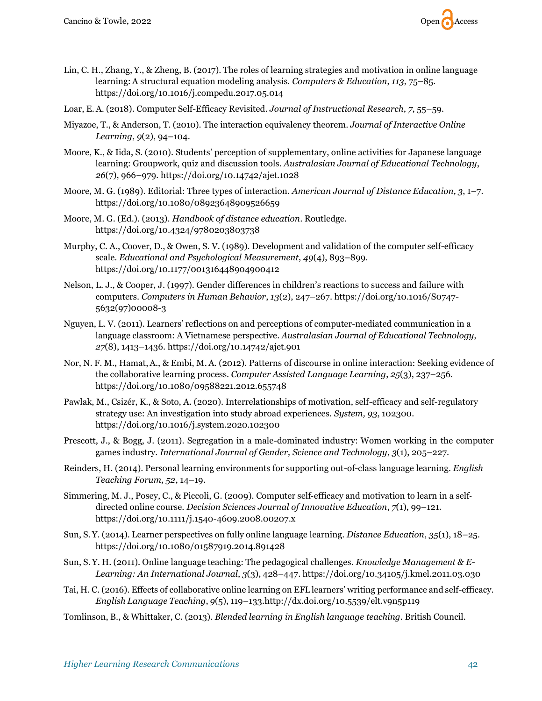

- Lin, C. H., Zhang, Y., & Zheng, B. (2017). The roles of learning strategies and motivation in online language learning: A structural equation modeling analysis. *Computers & Education*, *113*, 75–85. <https://doi.org/10.1016/j.compedu.2017.05.014>
- Loar, E.A. (2018). Computer Self-Efficacy Revisited. *Journal of Instructional Research*, *7*, 55–59.
- Miyazoe, T., & Anderson, T. (2010). The interaction equivalency theorem. *Journal of Interactive Online Learning*, *9*(2), 94–104.
- Moore, K., & Iida, S. (2010). Students' perception of supplementary, online activities for Japanese language learning: Groupwork, quiz and discussion tools. *Australasian Journal of Educational Technology*, *26*(7), 966–979. <https://doi.org/10.14742/ajet.1028>
- Moore, M. G. (1989). Editorial: Three types of interaction. *American Journal of Distance Education, 3*, 1–7. <https://doi.org/10.1080/08923648909526659>
- Moore, M. G. (Ed.). (2013). *Handbook of distance education*. Routledge. <https://doi.org/10.4324/9780203803738>
- Murphy, C. A., Coover, D., & Owen, S. V. (1989). Development and validation of the computer self-efficacy scale. *Educational and Psychological Measurement*, *49*(4), 893–899. [https://doi.org/10.1177/001316448904900412](https://psycnet.apa.org/doi/10.1177/001316448904900412)
- Nelson, L. J., & Cooper, J. (1997). Gender differences in children's reactions to success and failure with computers. *Computers in Human Behavior*, *13*(2), 247–267. [https://doi.org/10.1016/S0747-](https://psycnet.apa.org/doi/10.1016/S0747-5632(97)00008-3) [5632\(97\)00008-3](https://psycnet.apa.org/doi/10.1016/S0747-5632(97)00008-3)
- Nguyen, L. V. (2011). Learners' reflections on and perceptions of computer-mediated communication in a language classroom: A Vietnamese perspective. *Australasian Journal of Educational Technology*, *27*(8), 1413–1436. <https://doi.org/10.14742/ajet.901>
- Nor, N. F. M., Hamat,A., & Embi, M.A. (2012). Patterns of discourse in online interaction: Seeking evidence of the collaborative learning process. *Computer Assisted Language Learning*, *25*(3), 237–256. <https://doi.org/10.1080/09588221.2012.655748>
- Pawlak, M., Csizér, K., & Soto, A. (2020). Interrelationships of motivation, self-efficacy and self-regulatory strategy use: An investigation into study abroad experiences. *System, 93*, 102300. https://doi.org/10.1016/j.system.2020.102300
- Prescott, J., & Bogg, J. (2011). Segregation in a male-dominated industry: Women working in the computer games industry. *International Journal of Gender, Science and Technology*, *3*(1), 205–227.
- Reinders, H. (2014). Personal learning environments for supporting out-of-class language learning. *English Teaching Forum, 52*, 14–19.
- Simmering, M. J., Posey, C., & Piccoli, G. (2009). Computer self‐efficacy and motivation to learn in a self‐ directed online course. *Decision Sciences Journal of Innovative Education*, *7*(1), 99–121. <https://doi.org/10.1111/j.1540-4609.2008.00207.x>
- Sun, S. Y. (2014). Learner perspectives on fully online language learning. *Distance Education*, *35*(1), 18–25. <https://doi.org/10.1080/01587919.2014.891428>
- Sun, S. Y. H. (2011). Online language teaching: The pedagogical challenges. *Knowledge Management & E-Learning: An International Journal*, *3*(3), 428–447. <https://doi.org/10.34105/j.kmel.2011.03.030>
- Tai, H. C. (2016). Effects of collaborative online learning on EFL learners' writing performance and self-efficacy. *English Language Teaching*, *9*(5), 119–133[.http://dx.doi.org/10.5539/elt.v9n5p119](http://dx.doi.org/10.5539/elt.v9n5p119)
- Tomlinson, B., & Whittaker, C. (2013). *Blended learning in English language teaching.* British Council.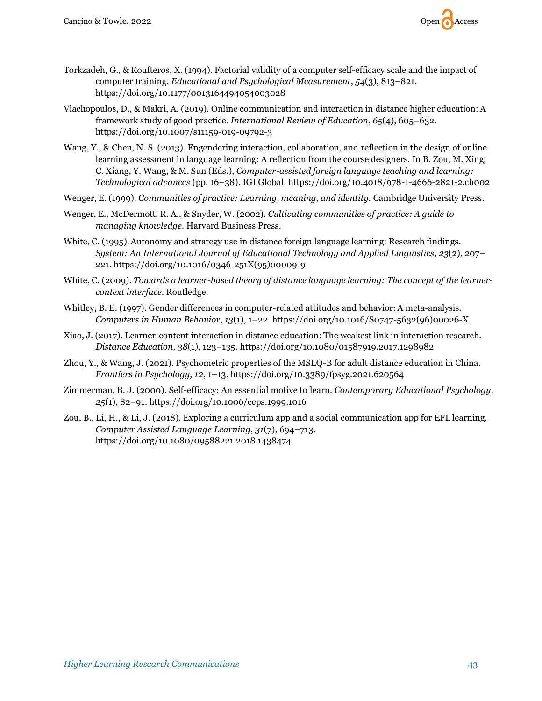

- Torkzadeh, G., & Koufteros, X. (1994). Factorial validity of a computer self-efficacy scale and the impact of computer training. *Educational and Psychological Measurement*, *54*(3), 813–821. [https://doi.org/10.1177/0013164494054003028](https://psycnet.apa.org/doi/10.1177/0013164494054003028)
- Vlachopoulos, D., & Makri, A. (2019). Online communication and interaction in distance higher education: A framework study of good practice. *International Review of Education*, *65*(4), 605–632. <https://doi.org/10.1007/s11159-019-09792-3>
- Wang, Y., & Chen, N. S. (2013). Engendering interaction, collaboration, and reflection in the design of online learning assessment in language learning: A reflection from the course designers. In B. Zou, M. Xing, C. Xiang, Y. Wang, & M. Sun (Eds.), *Computer-assisted foreign language teaching and learning: Technological advances* (pp. 16–38). IGI Global. <https://doi.org/10.4018/978-1-4666-2821-2.ch002>
- Wenger, E. (1999). *Communities of practice: Learning, meaning, and identity.* Cambridge University Press.
- Wenger, E., McDermott, R. A., & Snyder, W. (2002). *Cultivating communities of practice: A guide to managing knowledge.* Harvard Business Press.
- White, C. (1995).Autonomy and strategy use in distance foreign language learning: Research findings. *System: An International Journal of Educational Technology and Applied Linguistics*, *23*(2), 207– 221. [https://doi.org/10.1016/0346-251X\(95\)00009-9](https://doi.org/10.1016/0346-251X(95)00009-9)
- White, C. (2009). *Towards a learner-based theory of distance language learning: The concept of the learnercontext interface.* Routledge.
- Whitley, B. E. (1997). Gender differences in computer-related attitudes and behavior: A meta-analysis. *Computers in Human Behavior*, *13*(1), 1–22. [https://doi.org/10.1016/S0747-5632\(96\)00026-X](https://doi.org/10.1016/S0747-5632(96)00026-X)
- Xiao, J. (2017). Learner-content interaction in distance education: The weakest link in interaction research. *Distance Education*, *38*(1), 123–135. <https://doi.org/10.1080/01587919.2017.1298982>
- Zhou, Y., & Wang, J. (2021). Psychometric properties of the MSLQ-B for adult distance education in China. *Frontiers in Psychology, 12*, 1–13. https://doi.org/10.3389/fpsyg.2021.620564
- Zimmerman, B. J. (2000). Self-efficacy: An essential motive to learn. *Contemporary Educational Psychology*, *25*(1), 82–91. <https://doi.org/10.1006/ceps.1999.1016>
- Zou, B., Li, H., & Li, J. (2018). Exploring a curriculum app and a social communication app for EFL learning. *Computer Assisted Language Learning*, *31*(7), 694–713. <https://doi.org/10.1080/09588221.2018.1438474>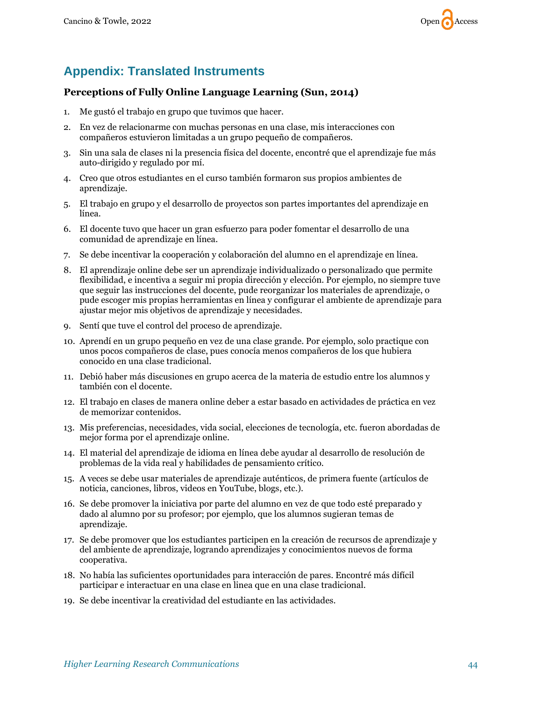

# **Appendix: Translated Instruments**

### **Perceptions of Fully Online Language Learning (Sun, 2014)**

- 1. Me gustó el trabajo en grupo que tuvimos que hacer.
- 2. En vez de relacionarme con muchas personas en una clase, mis interacciones con compañeros estuvieron limitadas a un grupo pequeño de compañeros.
- 3. Sin una sala de clases ni la presencia física del docente, encontré que el aprendizaje fue más auto-dirigido y regulado por mí.
- 4. Creo que otros estudiantes en el curso también formaron sus propios ambientes de aprendizaje.
- 5. El trabajo en grupo y el desarrollo de proyectos son partes importantes del aprendizaje en línea.
- 6. El docente tuvo que hacer un gran esfuerzo para poder fomentar el desarrollo de una comunidad de aprendizaje en línea.
- 7. Se debe incentivar la cooperación y colaboración del alumno en el aprendizaje en línea.
- 8. El aprendizaje online debe ser un aprendizaje individualizado o personalizado que permite flexibilidad, e incentiva a seguir mi propia dirección y elección. Por ejemplo, no siempre tuve que seguir las instrucciones del docente, pude reorganizar los materiales de aprendizaje, o pude escoger mis propias herramientas en línea y configurar el ambiente de aprendizaje para ajustar mejor mis objetivos de aprendizaje y necesidades.
- 9. Sentí que tuve el control del proceso de aprendizaje.
- 10. Aprendí en un grupo pequeño en vez de una clase grande. Por ejemplo, solo practique con unos pocos compañeros de clase, pues conocía menos compañeros de los que hubiera conocido en una clase tradicional.
- 11. Debió haber más discusiones en grupo acerca de la materia de estudio entre los alumnos y también con el docente.
- 12. El trabajo en clases de manera online deber a estar basado en actividades de práctica en vez de memorizar contenidos.
- 13. Mis preferencias, necesidades, vida social, elecciones de tecnología, etc. fueron abordadas de mejor forma por el aprendizaje online.
- 14. El material del aprendizaje de idioma en línea debe ayudar al desarrollo de resolución de problemas de la vida real y habilidades de pensamiento crítico.
- 15. A veces se debe usar materiales de aprendizaje auténticos, de primera fuente (artículos de noticia, canciones, libros, videos en YouTube, blogs, etc.).
- 16. Se debe promover la iniciativa por parte del alumno en vez de que todo esté preparado y dado al alumno por su profesor; por ejemplo, que los alumnos sugieran temas de aprendizaje.
- 17. Se debe promover que los estudiantes participen en la creación de recursos de aprendizaje y del ambiente de aprendizaje, logrando aprendizajes y conocimientos nuevos de forma cooperativa.
- 18. No había las suficientes oportunidades para interacción de pares. Encontré más difícil participar e interactuar en una clase en linea que en una clase tradicional.
- 19. Se debe incentivar la creatividad del estudiante en las actividades.